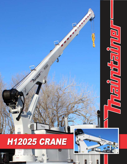